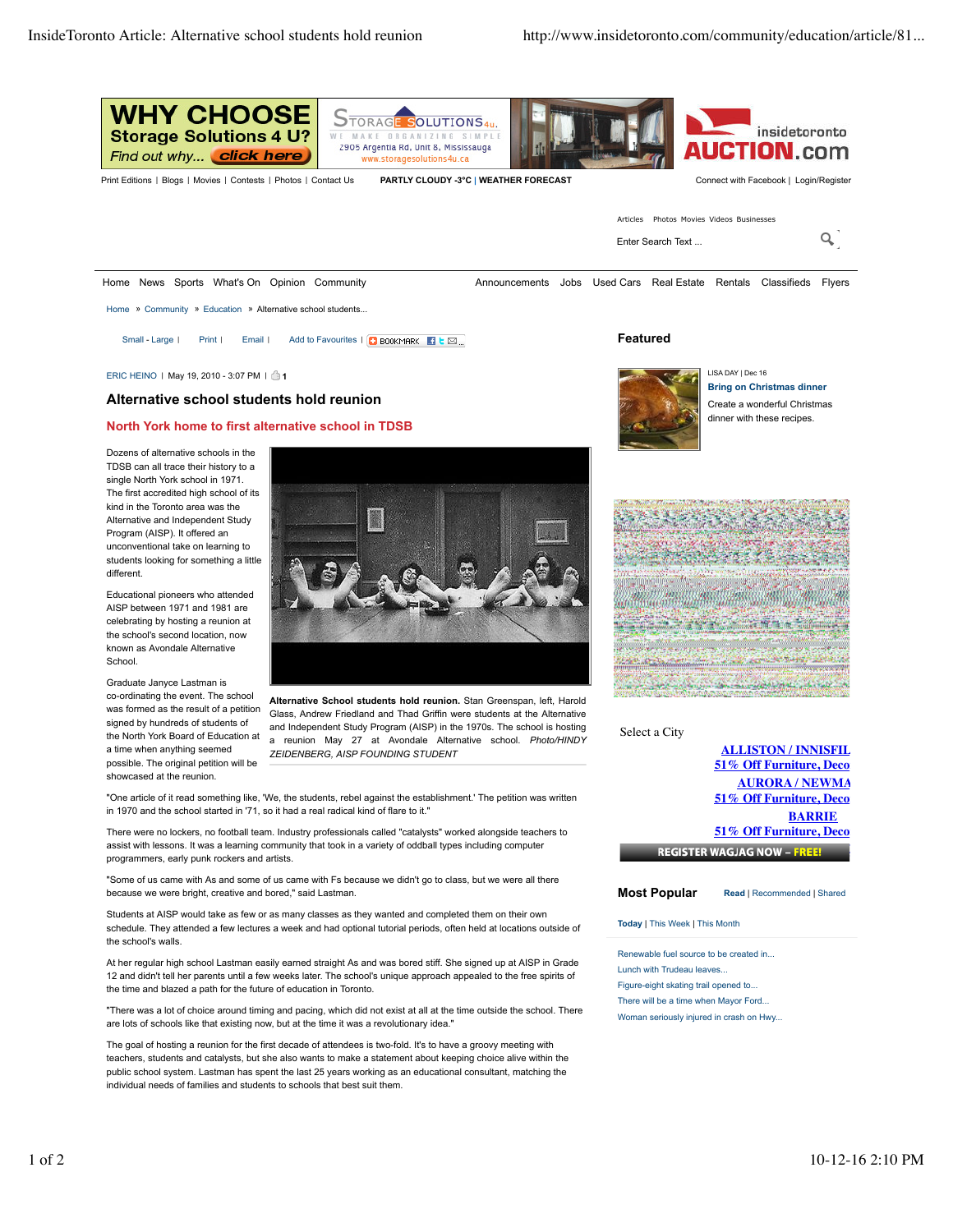

ERIC HEINO | May 19, 2010 - 3:07 PM | **1**

## **Alternative school students hold reunion**

## **North York home to first alternative school in TDSB**

Dozens of alternative schools in the TDSB can all trace their history to a single North York school in 1971. The first accredited high school of its kind in the Toronto area was the Alternative and Independent Study Program (AISP). It offered an unconventional take on learning to students looking for something a little different.

Educational pioneers who attended AISP between 1971 and 1981 are celebrating by hosting a reunion at the school's second location, now known as Avondale Alternative School

Graduate Janyce Lastman is co-ordinating the event. The school was formed as the result of a petition signed by hundreds of students of the North York Board of Education at a time when anything seemed possible. The original petition will be showcased at the reunion.



**Alternative School students hold reunion.** Stan Greenspan, left, Harold Glass, Andrew Friedland and Thad Griffin were students at the Alternative and Independent Study Program (AISP) in the 1970s. The school is hosting a reunion May 27 at Avondale Alternative school. *Photo/HINDY ZEIDENBERG, AISP FOUNDING STUDENT*

"One article of it read something like, 'We, the students, rebel against the establishment.' The petition was written in 1970 and the school started in '71, so it had a real radical kind of flare to it."

There were no lockers, no football team. Industry professionals called "catalysts" worked alongside teachers to assist with lessons. It was a learning community that took in a variety of oddball types including computer programmers, early punk rockers and artists.

"Some of us came with As and some of us came with Fs because we didn't go to class, but we were all there because we were bright, creative and bored," said Lastman.

Students at AISP would take as few or as many classes as they wanted and completed them on their own schedule. They attended a few lectures a week and had optional tutorial periods, often held at locations outside of the school's walls.

At her regular high school Lastman easily earned straight As and was bored stiff. She signed up at AISP in Grade 12 and didn't tell her parents until a few weeks later. The school's unique approach appealed to the free spirits of the time and blazed a path for the future of education in Toronto.

"There was a lot of choice around timing and pacing, which did not exist at all at the time outside the school. There are lots of schools like that existing now, but at the time it was a revolutionary idea.

The goal of hosting a reunion for the first decade of attendees is two-fold. It's to have a groovy meeting with teachers, students and catalysts, but she also wants to make a statement about keeping choice alive within the public school system. Lastman has spent the last 25 years working as an educational consultant, matching the individual needs of families and students to schools that best suit them.



LISA DAY | Dec 16 **Bring on Christmas dinner** Create a wonderful Christmas dinner with these recipes.



Select a City

**ALLISTON / INNISFIL 51% Off Furniture, Decore AURORA / NEWMA 51% Off Furniture, Deco BARRIE 51% Off Furniture, Deco REGISTER WAGJAG NOW - FREE!** 

**Most Popular Read** | Recommended | Shared

**51% Off Furniture, Decor and More**

**Today** | This Week | This Month

Renewable fuel source to be created in... Lunch with Trudeau leaves... Figure-eight skating trail opened to... There will be a time when Mayor Ford... Woman seriously injured in crash on Hwy...